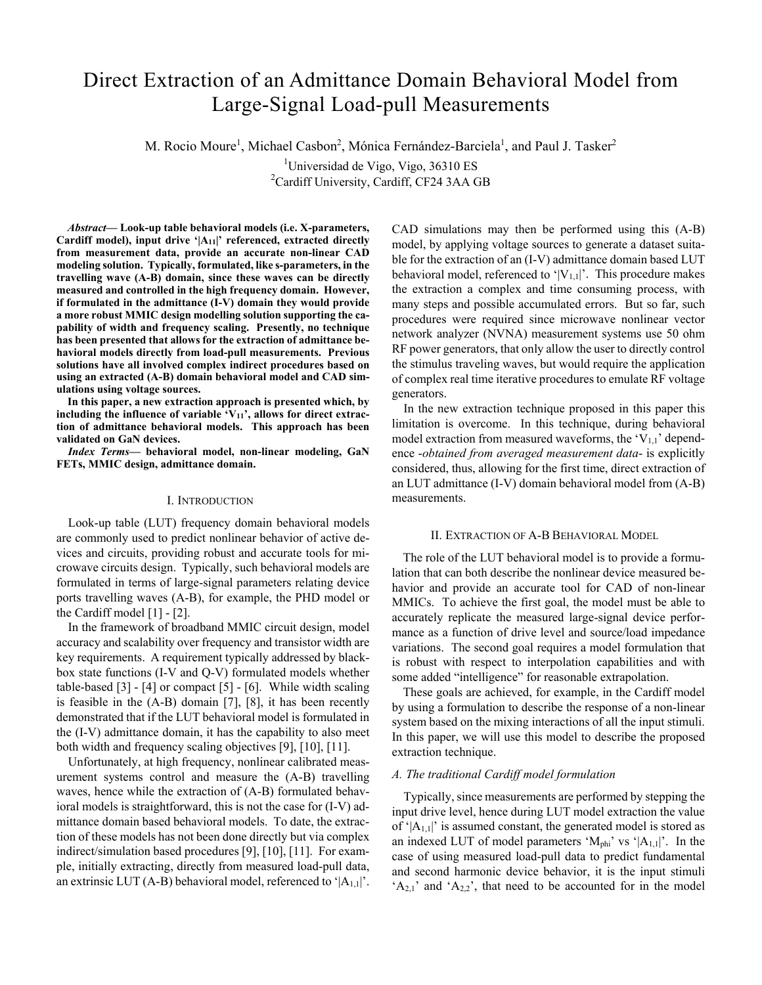# Direct Extraction of an Admittance Domain Behavioral Model from Large-Signal Load-pull Measurements

M. Rocio Moure<sup>1</sup>, Michael Casbon<sup>2</sup>, Mónica Fernández-Barciela<sup>1</sup>, and Paul J. Tasker<sup>2</sup> <sup>1</sup>Universidad de Vigo, Vigo, 36310 ES

<sup>2</sup>Cardiff University, Cardiff, CF24 3AA GB

*Abstract***— Look-up table behavioral models (i.e. X-parameters, Cardiff model), input drive '|A11|' referenced, extracted directly from measurement data, provide an accurate non-linear CAD modeling solution. Typically, formulated, like s-parameters, in the travelling wave (A-B) domain, since these waves can be directly measured and controlled in the high frequency domain. However, if formulated in the admittance (I-V) domain they would provide a more robust MMIC design modelling solution supporting the capability of width and frequency scaling. Presently, no technique has been presented that allows for the extraction of admittance behavioral models directly from load-pull measurements. Previous solutions have all involved complex indirect procedures based on using an extracted (A-B) domain behavioral model and CAD simulations using voltage sources.** 

**In this paper, a new extraction approach is presented which, by**  including the influence of variable 'V<sub>11</sub>', allows for direct extrac**tion of admittance behavioral models. This approach has been validated on GaN devices.** 

*Index Terms***— behavioral model, non-linear modeling, GaN FETs, MMIC design, admittance domain.** 

#### I. INTRODUCTION

Look-up table (LUT) frequency domain behavioral models are commonly used to predict nonlinear behavior of active devices and circuits, providing robust and accurate tools for microwave circuits design. Typically, such behavioral models are formulated in terms of large-signal parameters relating device ports travelling waves (A-B), for example, the PHD model or the Cardiff model [1] - [2].

In the framework of broadband MMIC circuit design, model accuracy and scalability over frequency and transistor width are key requirements. A requirement typically addressed by blackbox state functions (I-V and Q-V) formulated models whether table-based  $[3]$  -  $[4]$  or compact  $[5]$  -  $[6]$ . While width scaling is feasible in the (A-B) domain [7], [8], it has been recently demonstrated that if the LUT behavioral model is formulated in the (I-V) admittance domain, it has the capability to also meet both width and frequency scaling objectives [9], [10], [11].

Unfortunately, at high frequency, nonlinear calibrated measurement systems control and measure the (A-B) travelling waves, hence while the extraction of (A-B) formulated behavioral models is straightforward, this is not the case for (I-V) admittance domain based behavioral models. To date, the extraction of these models has not been done directly but via complex indirect/simulation based procedures [9], [10], [11]. For example, initially extracting, directly from measured load-pull data, an extrinsic LUT (A-B) behavioral model, referenced to ' $|A_{1,1}|$ '. CAD simulations may then be performed using this (A-B) model, by applying voltage sources to generate a dataset suitable for the extraction of an (I-V) admittance domain based LUT behavioral model, referenced to ' $|V_{1,1}|$ '. This procedure makes the extraction a complex and time consuming process, with many steps and possible accumulated errors. But so far, such procedures were required since microwave nonlinear vector network analyzer (NVNA) measurement systems use 50 ohm RF power generators, that only allow the user to directly control the stimulus traveling waves, but would require the application of complex real time iterative procedures to emulate RF voltage generators.

In the new extraction technique proposed in this paper this limitation is overcome. In this technique, during behavioral model extraction from measured waveforms, the  $V_{1,1}$ ' dependence -*obtained from averaged measurement data*- is explicitly considered, thus, allowing for the first time, direct extraction of an LUT admittance (I-V) domain behavioral model from (A-B) measurements.

## II. EXTRACTION OF A-B BEHAVIORAL MODEL

The role of the LUT behavioral model is to provide a formulation that can both describe the nonlinear device measured behavior and provide an accurate tool for CAD of non-linear MMICs. To achieve the first goal, the model must be able to accurately replicate the measured large-signal device performance as a function of drive level and source/load impedance variations. The second goal requires a model formulation that is robust with respect to interpolation capabilities and with some added "intelligence" for reasonable extrapolation.

These goals are achieved, for example, in the Cardiff model by using a formulation to describe the response of a non-linear system based on the mixing interactions of all the input stimuli. In this paper, we will use this model to describe the proposed extraction technique.

## *A. The traditional Cardiff model formulation*

Typically, since measurements are performed by stepping the input drive level, hence during LUT model extraction the value of ' $|A_{1,1}|$ ' is assumed constant, the generated model is stored as an indexed LUT of model parameters ' $M_{phi}$ ' vs ' $|A_{1,1}|$ '. In the case of using measured load-pull data to predict fundamental and second harmonic device behavior, it is the input stimuli  $A_{2,1}$ ' and  $A_{2,2}$ ', that need to be accounted for in the model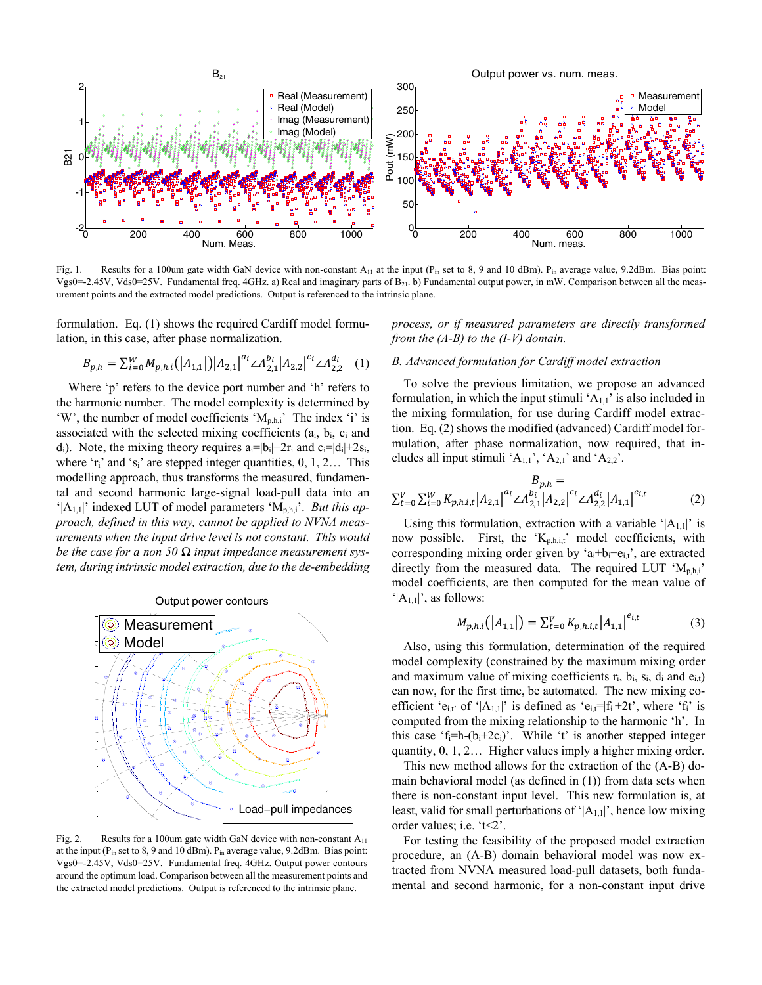

Fig. 1. Results for a 100um gate width GaN device with non-constant  $A_{11}$  at the input (P<sub>in</sub> set to 8, 9 and 10 dBm). P<sub>in</sub> average value, 9.2dBm. Bias point: Vgs0=-2.45V, Vds0=25V. Fundamental freq. 4GHz. a) Real and imaginary parts of  $B_{21}$ . b) Fundamental output power, in mW. Comparison between all the measurement points and the extracted model predictions. Output is referenced to the intrinsic plane.

formulation. Eq. (1) shows the required Cardiff model formulation, in this case, after phase normalization.

$$
B_{p,h} = \sum_{i=0}^{W} M_{p,h,i} (|A_{1,1}|) |A_{2,1}|^{a_i} \angle A_{2,1}^{b_i} |A_{2,2}|^{c_i} \angle A_{2,2}^{d_i} \quad (1)
$$

Where 'p' refers to the device port number and 'h' refers to the harmonic number. The model complexity is determined by 'W', the number of model coefficients ' $M_{p,h,i}$ ' The index 'i' is associated with the selected mixing coefficients  $(a_i, b_i, c_i)$  and d<sub>i</sub>). Note, the mixing theory requires  $a_i=|b_i|+2r_i$  and  $c_i=|d_i|+2s_i$ , where ' $r_i$ ' and 's<sub>i</sub>' are stepped integer quantities,  $0, 1, 2...$  This modelling approach, thus transforms the measured, fundamental and second harmonic large-signal load-pull data into an '|A<sub>1,1</sub>|' indexed LUT of model parameters 'M<sub>p,h,i</sub>'. *But this approach, defined in this way, cannot be applied to NVNA measurements when the input drive level is not constant. This would be the case for a non 50 Ω input impedance measurement system, during intrinsic model extraction, due to the de-embedding* 



Fig. 2. Results for a 100um gate width GaN device with non-constant  $A_{11}$ at the input ( $P_{in}$  set to 8, 9 and 10 dBm).  $P_{in}$  average value, 9.2dBm. Bias point: Vgs0=-2.45V, Vds0=25V. Fundamental freq. 4GHz. Output power contours around the optimum load. Comparison between all the measurement points and the extracted model predictions. Output is referenced to the intrinsic plane.

*process, or if measured parameters are directly transformed from the (A-B) to the (I-V) domain.*

# *B. Advanced formulation for Cardiff model extraction*

To solve the previous limitation, we propose an advanced formulation, in which the input stimuli ' $A_{1,1}$ ' is also included in the mixing formulation, for use during Cardiff model extraction. Eq. (2) shows the modified (advanced) Cardiff model formulation, after phase normalization, now required, that includes all input stimuli ' $A_{1,1}$ ', ' $A_{2,1}$ ' and ' $A_{2,2}$ '.

$$
B_{p,h} =
$$
  

$$
\sum_{t=0}^{V} \sum_{i=0}^{W} K_{p,h,i,t} |A_{2,1}|^{a_i} \angle A_{2,1}^{b_i} |A_{2,2}|^{c_i} \angle A_{2,2}^{d_i} |A_{1,1}|^{e_{i,t}}
$$
 (2)

Using this formulation, extraction with a variable ' $|A_{1,1}|$ ' is now possible. First, the 'K<sub>p,h,i,t</sub>' model coefficients, with corresponding mixing order given by ' $a_i + b_i + e_{i,t}$ ', are extracted directly from the measured data. The required LUT  $^{\circ}M_{\text{p,h,i}}$ model coefficients, are then computed for the mean value of  $'|A_{1,1}|'$ , as follows:

$$
M_{p,h,i}(|A_{1,1}|) = \sum_{t=0}^{V} K_{p,h,i,t} |A_{1,1}|^{e_{i,t}}
$$
 (3)

Also, using this formulation, determination of the required model complexity (constrained by the maximum mixing order and maximum value of mixing coefficients  $r_i$ ,  $b_i$ ,  $s_i$ ,  $d_i$  and  $e_{i,t}$ ) can now, for the first time, be automated. The new mixing coefficient 'e<sub>i,t'</sub> of '|A<sub>1,1</sub>|' is defined as 'e<sub>i,t</sub>=|f<sub>i</sub>|+2t', where 'f<sub>i</sub>' is computed from the mixing relationship to the harmonic 'h'. In this case 'f<sub>i</sub>=h- $(b_i+2c_i)$ '. While 't' is another stepped integer quantity, 0, 1, 2… Higher values imply a higher mixing order.

This new method allows for the extraction of the (A-B) domain behavioral model (as defined in (1)) from data sets when there is non-constant input level. This new formulation is, at least, valid for small perturbations of ' $|A_{1,1}|$ ', hence low mixing order values; i.e. 't<2'.

For testing the feasibility of the proposed model extraction procedure, an (A-B) domain behavioral model was now extracted from NVNA measured load-pull datasets, both fundamental and second harmonic, for a non-constant input drive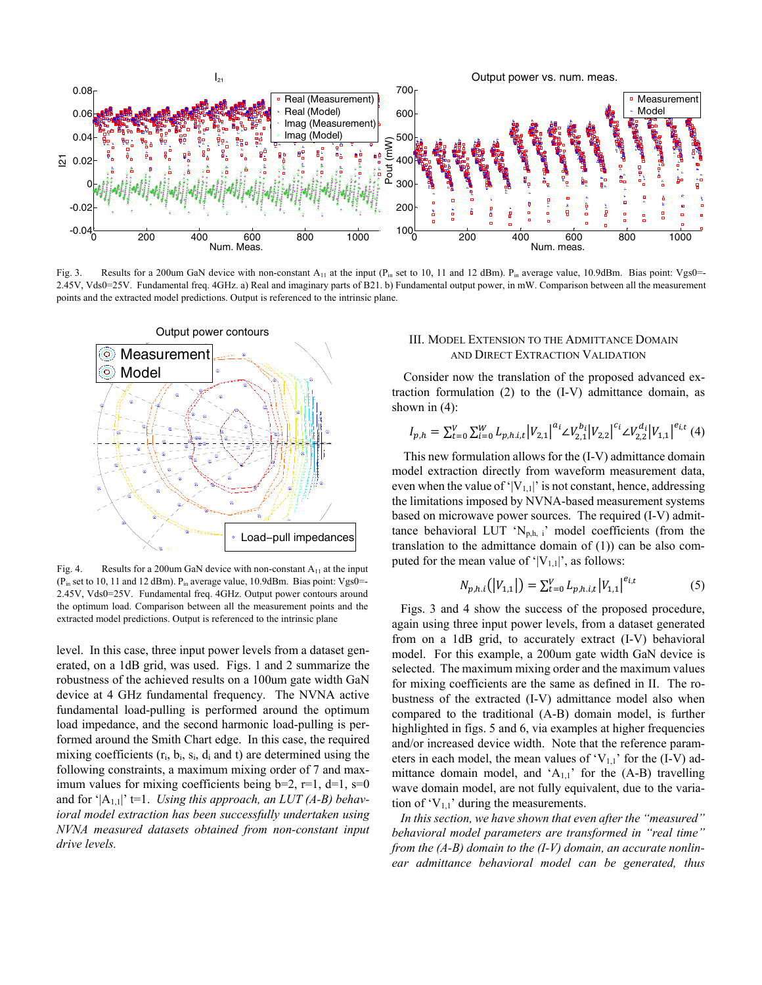

Fig. 3. Results for a 200um GaN device with non-constant  $A_{11}$  at the input (P<sub>in</sub> set to 10, 11 and 12 dBm). P<sub>in</sub> average value, 10.9dBm. Bias point: Vgs0=-2.45V, Vds0=25V. Fundamental freq. 4GHz. a) Real and imaginary parts of B21. b) Fundamental output power, in mW. Comparison between all the measurement points and the extracted model predictions. Output is referenced to the intrinsic plane.



Fig. 4. Results for a 200 um GaN device with non-constant  $A_{11}$  at the input ( $P_{in}$  set to 10, 11 and 12 dBm).  $P_{in}$  average value, 10.9dBm. Bias point: Vgs0=-2.45V, Vds0=25V. Fundamental freq. 4GHz. Output power contours around the optimum load. Comparison between all the measurement points and the extracted model predictions. Output is referenced to the intrinsic plane

level. In this case, three input power levels from a dataset generated, on a 1dB grid, was used. Figs. 1 and 2 summarize the robustness of the achieved results on a 100um gate width GaN device at 4 GHz fundamental frequency. The NVNA active fundamental load-pulling is performed around the optimum load impedance, and the second harmonic load-pulling is performed around the Smith Chart edge. In this case, the required mixing coefficients  $(r_i, b_i, s_i, d_i)$  and t) are determined using the following constraints, a maximum mixing order of 7 and maximum values for mixing coefficients being  $b=2$ ,  $r=1$ ,  $d=1$ ,  $s=0$ and for ' $|A_{1,1}|$ ' t=1. *Using this approach, an LUT (A-B) behavioral model extraction has been successfully undertaken using NVNA measured datasets obtained from non-constant input drive levels.*

# III. MODEL EXTENSION TO THE ADMITTANCE DOMAIN AND DIRECT EXTRACTION VALIDATION

Consider now the translation of the proposed advanced extraction formulation (2) to the (I-V) admittance domain, as shown in  $(4)$ :

$$
I_{p,h} = \sum_{t=0}^{V} \sum_{i=0}^{W} L_{p,h,i,t} |V_{2,1}|^{a_i} \angle V_{2,1}^{b_i} |V_{2,2}|^{c_i} \angle V_{2,2}^{d_i} |V_{1,1}|^{e_{i,t}} (4)
$$

This new formulation allows for the (I-V) admittance domain model extraction directly from waveform measurement data, even when the value of ' $|V_{1,1}|$ ' is not constant, hence, addressing the limitations imposed by NVNA-based measurement systems based on microwave power sources. The required (I-V) admittance behavioral LUT ' $N_{p,h, i}$ ' model coefficients (from the translation to the admittance domain of (1)) can be also computed for the mean value of ' $|V_{1,1}|$ ', as follows:

$$
N_{p,h.i}(|V_{1,1}|) = \sum_{t=0}^{V} L_{p,h.i,t} |V_{1,1}|^{e_{i,t}}
$$
 (5)

Figs. 3 and 4 show the success of the proposed procedure, again using three input power levels, from a dataset generated from on a 1dB grid, to accurately extract (I-V) behavioral model. For this example, a 200um gate width GaN device is selected. The maximum mixing order and the maximum values for mixing coefficients are the same as defined in II. The robustness of the extracted (I-V) admittance model also when compared to the traditional (A-B) domain model, is further highlighted in figs. 5 and 6, via examples at higher frequencies and/or increased device width. Note that the reference parameters in each model, the mean values of ' $V_{1,1}$ ' for the (I-V) admittance domain model, and ' $A_{1,1}$ ' for the (A-B) travelling wave domain model, are not fully equivalent, due to the variation of ' $V_{1,1}$ ' during the measurements.

*In this section, we have shown that even after the "measured" behavioral model parameters are transformed in "real time" from the (A-B) domain to the (I-V) domain, an accurate nonlinear admittance behavioral model can be generated, thus*